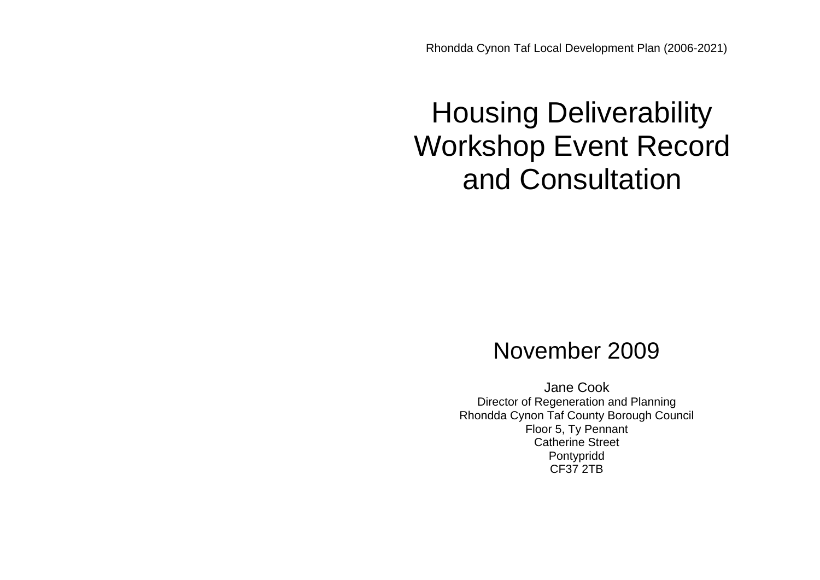Rhondda Cynon Taf Local Development Plan (2006-2021)

# Housing Deliverability Workshop Event Record and Consultation

## November 2009

Jane Cook Director of Regeneration and Planning Rhondda Cynon Taf County Borough Council Floor 5, Ty Pennant Catherine Street Pontypridd CF37 2TB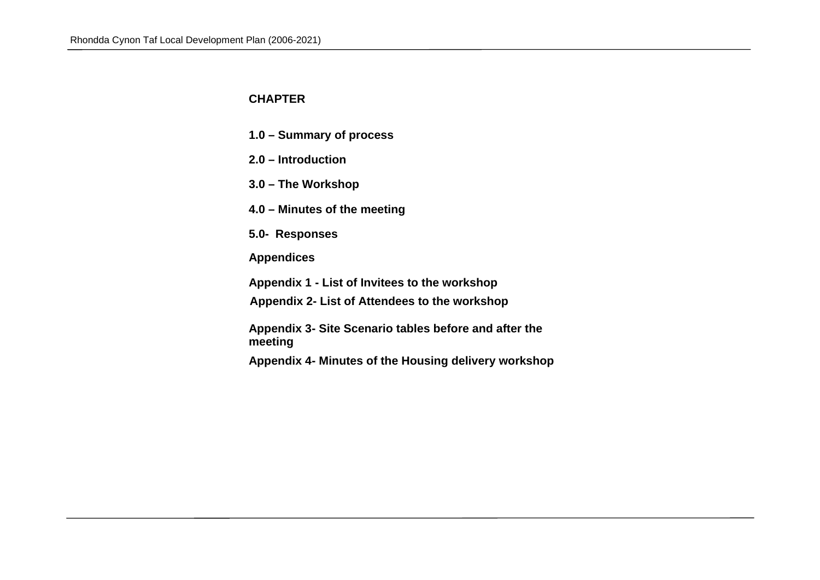### **CHAPTER**

- **1.0 Summary of process**
- **2.0 Introduction**
- **3.0 The Workshop**
- **4.0 Minutes of the meeting**
- **5.0- Responses**
- **Appendices**
- **Appendix 1 List of Invitees to the workshop**
- **Appendix 2- List of Attendees to the workshop**
- **Appendix 3- Site Scenario tables before and after the meeting**
- **Appendix 4- Minutes of the Housing delivery workshop**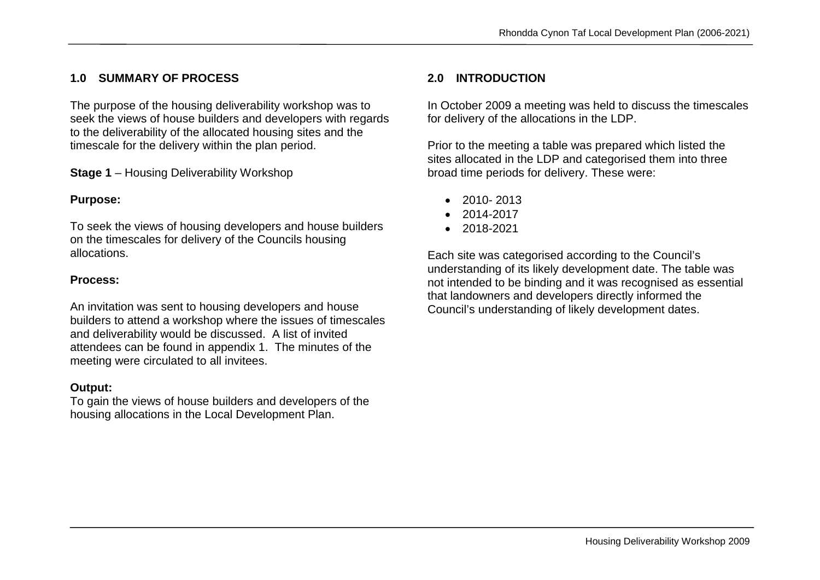## **1.0 SUMMARY OF PROCESS**

The purpose of the housing deliverability workshop was to seek the views of house builders and developers with regards to the deliverability of the allocated housing sites and the timescale for the delivery within the plan period.

**Stage 1** – Housing Deliverability Workshop

#### **Purpose:**

To seek the views of housing developers and house builders on the timescales for delivery of the Councils housing allocations.

#### **Process:**

An invitation was sent to housing developers and house builders to attend a workshop where the issues of timescales and deliverability would be discussed. A list of invited attendees can be found in appendix 1. The minutes of the meeting were circulated to all invitees.

#### **Output:**

To gain the views of house builders and developers of the housing allocations in the Local Development Plan.

#### **2.0 INTRODUCTION**

In October 2009 a meeting was held to discuss the timescales for delivery of the allocations in the LDP.

Prior to the meeting a table was prepared which listed the sites allocated in the LDP and categorised them into three broad time periods for delivery. These were:

- $\bullet$  2010-2013
- $2014 2017$
- $2018 2021$

Each site was categorised according to the Council's understanding of its likely development date. The table was not intended to be binding and it was recognised as essential that landowners and developers directly informed the Council's understanding of likely development dates.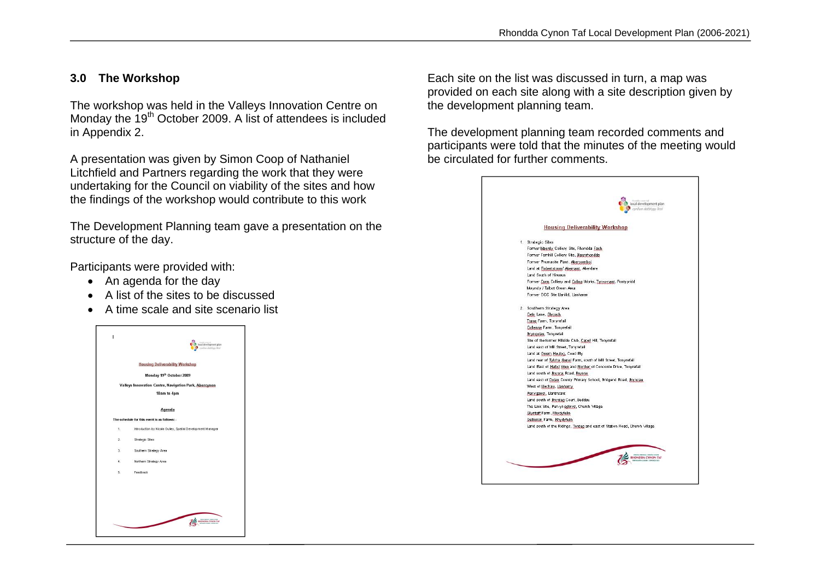#### **3.0 The Workshop**

The workshop was held in the Valleys Innovation Centre on Monday the 19<sup>th</sup> October 2009. A list of attendees is included in Appendix 2.

A presentation was given by Simon Coop of Nathaniel Litchfield and Partners regarding the work that they were undertaking for the Council on viability of the sites and how the findings of the workshop would contribute to this work

The Development Planning team gave a presentation on the structure of the day.

Participants were provided with:

- An agenda for the day
- A list of the sites to be discussed
- A time scale and site scenario list



Each site on the list was discussed in turn, a map was provided on each site along with a site description given by the development planning team.

The development planning team recorded comments and participants were told that the minutes of the meeting would be circulated for further comments.

| local development plan<br>cyrillan datblyga lleol                                   |
|-------------------------------------------------------------------------------------|
| <b>Housing Deliverability Workshop</b>                                              |
| 1. Strategic Sites                                                                  |
| Former Maerdy, Colliery, Site, Rhondda Fach,                                        |
| Former Femhill Colliery Site, Blaenthondda                                          |
| Former Phumacite Plant, Abercwmboi                                                  |
| Land at Robertstown/ Abernant, Aberdare                                             |
| Land South of Hirwaun                                                               |
| Former Cum, Colliery and Coling Works, Typ-y-pant, Pontypridd                       |
| Muyndy / Talbot Green Area                                                          |
| Former OCC Site Llanilid, Llanharan                                                 |
| 2. Southern Strategy Area                                                           |
| Cefn Lane, Glycoch                                                                  |
| Trane Farm, Tonyrefail                                                              |
| Collenna Farm, Tonyrefail                                                           |
| Bryngolau, Tonyrefail                                                               |
| Site of the former Hillside Club, Capel Hill, Tonyrefail                            |
| Land east of Mill Street, Tonyrefail                                                |
| Land at Gwern Heulog, Coed By                                                       |
| Land rear of Tylcha Ganol Farm, south of Mill Street, Tonyrefail                    |
| Land East of Hafod Wen and Norther of Concorde Drive, Tonyrefail                    |
| Land south of Brynna Road, Brynna                                                   |
| Land east of Dolay County Primary School, Bridgend Road, Bryncae                    |
| West of Llechau, Llanhamy                                                           |
| Penygawsi, Llantrisant                                                              |
| Land south of Brynteg Court, Beddau<br>The Link Site, Pen-yr-egluvs, Church Village |
| Glyntaff Farm, Bhydyfelin                                                           |
| Gelliwion Farm, Rhydyfelin                                                          |
| Land south of the Ridings, Tonteg and east of Station Road, Church Village          |
|                                                                                     |
|                                                                                     |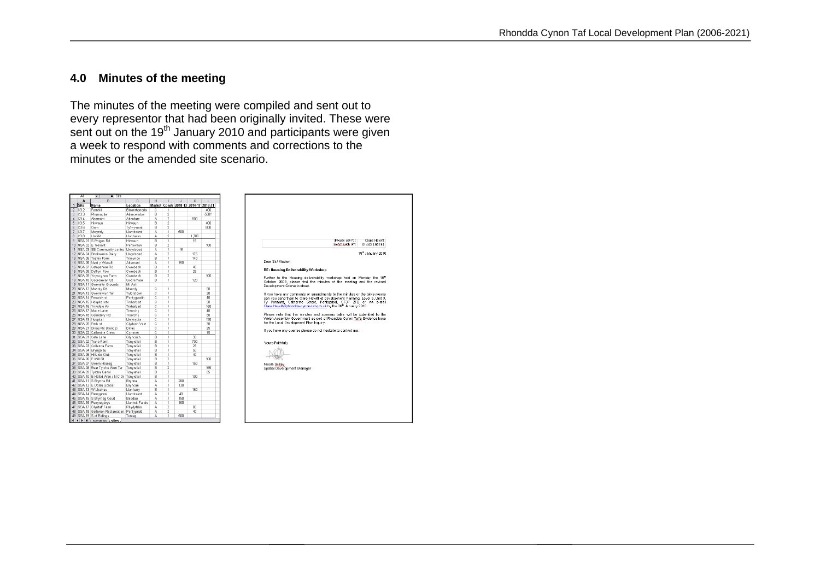#### **4.0 Minutes of the meeting**

The minutes of the meeting were compiled and sent out to every representor that had been originally invited. These were sent out on the 19<sup>th</sup> January 2010 and participants were given a week to respond with comments and corrections to the minutes or the amended site scenario.

|                 | A1                 | $=$ Site<br>$\overline{\phantom{0}}$           |                    |                |                         |                                       |       |      |
|-----------------|--------------------|------------------------------------------------|--------------------|----------------|-------------------------|---------------------------------------|-------|------|
|                 | A                  | $\overline{R}$                                 | $\overline{c}$     | H              | т                       | $\overline{1}$                        | K     | П    |
| 1               | Site               | Name                                           | Location           |                |                         | Market Constr 2010-13 2014-17 2018-21 |       |      |
| $\overline{2}$  | C32                | Fernhill                                       | Blaenrhondda       | c              | ī                       |                                       |       | 400  |
| 3               | 03.3               | Phumacite                                      | Abercwmboi         | B              | $\overline{c}$          |                                       |       | 500? |
| $\frac{1}{2}$   | C3.4               | Abemant                                        | Aberdare           | A              | $\overline{c}$          |                                       | 600   |      |
| 5               | C3.5               | Hinusun                                        | <b>Hirwaun</b>     | B              | $\overline{c}$          |                                       |       | 400  |
| 6               | C3.6               | Cwm                                            | Ty'n-y-nant        | B              | $\overline{c}$          |                                       |       | 800  |
| 7               | C3.7               | Mwyndy                                         | Llantrisant        | A              | 1                       | 500                                   |       |      |
| 8               | C3.8               | Llanilid                                       | Llanharan          | А              | $\overline{c}$          |                                       | 1,700 |      |
| $\overline{9}$  |                    | NSA.01 S Rhigos Rd                             | Hirwaun            | $\overline{B}$ | ī                       |                                       | 15    |      |
|                 |                    | 10 NSA.02 E Trenant                            | Penywaun           | $\overline{B}$ | $\overline{z}$          |                                       |       | 100  |
| 11              |                    | NSA.03 SE Community centre                     | Llwydcoed          | A              | ī                       | 15                                    |       |      |
|                 |                    | 12 NSA.04 Brickworks Dairy                     | Llwydcoed          | A              | $\overline{2}$          |                                       | 175   |      |
|                 |                    | 13 NSA.05 Tegfan Farm                          | Trecynon           | B              | 1                       |                                       | 140   |      |
|                 |                    | 14 NSA.06 Nant y Wenallt                       | Abernant           | A              | 1                       | 150                                   |       |      |
|                 |                    | 15 NSA.07 Cefnpennar Rd                        | Cwmbach            | B              | 1                       |                                       | 40    |      |
|                 |                    | 16 NSA.08 Dyffryn Row                          | Cwmbach            | B              | ï                       |                                       | 25    |      |
|                 |                    | 17 NSA.09 Ynyscynon Farm                       | Cwmbach            | B              | $\overline{2}$          |                                       |       | 100  |
|                 |                    | 18 NSA.10 Godreaman St                         | Godremaan          | B              | 1                       |                                       | 120   |      |
|                 |                    | 19 NSA 11 Gwemifor Grounds                     | Mt Ash             |                |                         |                                       |       |      |
|                 |                    | 20 NSA.12 Maerdy Rd                            | Maerdy             | Ċ              | 1                       |                                       |       | 50   |
|                 |                    |                                                |                    | ċ              | ī                       |                                       |       | 30   |
|                 |                    | 21 NSA.13 Gwemllwyn Ter                        | Tylorstown         | ċ              | ī                       |                                       |       |      |
|                 |                    | 22 NSA 14 Ferwick st                           | Pontygwaith        |                | ī                       |                                       |       | 40   |
|                 |                    | 23 NSA.15 Hospital etc.                        | Treherbert         | ō              |                         |                                       |       | 50   |
|                 |                    | 24 NSA.16 Ynysfeio Av                          | Treherbert         | c<br>ċ         | 1                       |                                       |       | 150  |
|                 |                    | 25 NSA.17 Mace Lane                            | Treorchy           |                | ī                       |                                       |       | 40   |
|                 |                    | 26 NSA.18 Cemetery Rd                          | Treorchy           | ō              | ī                       |                                       |       | m    |
|                 | 27 NSA.19 Hospital |                                                | Llwynypia          | c              | ī                       |                                       |       | 190  |
|                 | 28 NSA.20 Park st  |                                                | Clydach Vale       | ō              | ī                       |                                       |       | 30.  |
|                 |                    | 29 NSA.21 Dinas Rd (Concs)                     | Dinas              | $\overline{c}$ | ī                       |                                       |       | 25   |
|                 |                    | 30 NSA.22 Catherine Cresc                      | Cymmer             | $\overline{c}$ | ī                       |                                       |       | 15   |
| 31              |                    | SSA 01 Cefn Lane                               | Glyncoch           | B              | ī                       |                                       | 30    |      |
| 32              |                    | SSA 02 Trane Farm                              | Tonyrefail         | B              | 1                       |                                       | 700   |      |
|                 |                    | 33 SSA.03 Collenna Farm                        | Tonyrefail         | B              | ī                       |                                       | 25    |      |
|                 |                    | 34 SSA.04 Bryngolau                            | Tonyrefail         | B              | 1                       |                                       | 50    |      |
|                 |                    | 35 SSA.05 Hillside Club                        | Tonyrefail         | B              | ī                       |                                       | 40    |      |
| 36 <sup>1</sup> |                    | SSA.06 E Mill St                               | Tonvrefail         | B              | $\overline{2}$          |                                       |       | 100  |
|                 |                    | 37 SSA.07 Gwern Heulog                         | Tonvrefail         | B              | 1                       |                                       | 150   |      |
|                 |                    | 38 SSA.08 Rear Tylcha Wen Ter                  | Tonyrefail         | B              | $\overline{2}$          |                                       |       | 165  |
|                 |                    | 39 SSA.09 Tylcha Ganol                         | Tonvrefail         | B              | $\overline{2}$          |                                       |       | 85   |
|                 |                    | 40 SSA.10 E Hafod Wen / N C Dr                 | Tonvrefail         | B              | ī                       |                                       | 100   |      |
| 41              |                    | SSA.11 S Brynna Rd                             | Brvnna             | Ä              | ī                       | 200                                   |       |      |
| 42              |                    | SSA 12 E Dolau School                          | Brvncae            | А              | ī                       | 130                                   |       |      |
| 43              |                    | SSA.13 W Llechau                               | Llanharry          | $\overline{B}$ | ī                       |                                       | 150   |      |
| 44              |                    | SSA.14 Penygawsi                               | <b>Llantrisant</b> | A              | ī                       | 40                                    |       |      |
| 45              |                    | SSA.15 S Brynteg Court                         | Beddau             | A              | ī                       | 150                                   |       |      |
| 46              |                    | SSA.16 Penyreglwys                             | Llantwit Fardre    | А              | ī                       | 160                                   |       |      |
| 47              |                    | SSA.17 Glyntaff Farm                           | Rhydyfelin         | A              | $\overline{2}$          |                                       | 80    |      |
| 48              |                    | SSA.18 Gelliwion Reclamation                   | Pontypridd         | A              | $\overline{\mathbf{z}}$ |                                       | 40    |      |
|                 |                    | 49 SSA 19 S of Ridinas                         | Tonteg             | А              | 1                       | 500                                   |       |      |
|                 |                    | $H$ $\leftarrow$ $H$ $\right)$ scenarios sites |                    |                |                         |                                       |       |      |

| Getynnweb am:<br>01443 495194<br>19 <sup>h</sup> January 2010<br>RE: Housing Deliverability Workshop<br>Further to the Housing deliverability workshop held on Monday the 19 <sup>n</sup><br>October 2009, please find the minutes of the meeting and the revised<br>If you have any comments or amendments to the minutes or the table please<br>can you send them to Clare Hewitt at Development Planning, Level 5, Unit 3,<br>Ty Pennant, Catherine Street, Pontypridd, CF37 2TB or via e-mail<br>Clare.Hewitt@rhondda-cynon-taf.gov.uk by the 26 <sup>h</sup> January 2010.<br>Please note that the minutes and scenario table will be submitted to the<br>Welsh Assembly Government as part of Rhondda Cynon Taf's Evidence base<br>for the Local Development Plan Inquiry.<br>If you have any queries please do not hesitate to contact me. |                                              | Please ask for:<br>Clare Hewitt |
|---------------------------------------------------------------------------------------------------------------------------------------------------------------------------------------------------------------------------------------------------------------------------------------------------------------------------------------------------------------------------------------------------------------------------------------------------------------------------------------------------------------------------------------------------------------------------------------------------------------------------------------------------------------------------------------------------------------------------------------------------------------------------------------------------------------------------------------------------|----------------------------------------------|---------------------------------|
|                                                                                                                                                                                                                                                                                                                                                                                                                                                                                                                                                                                                                                                                                                                                                                                                                                                   |                                              |                                 |
|                                                                                                                                                                                                                                                                                                                                                                                                                                                                                                                                                                                                                                                                                                                                                                                                                                                   |                                              |                                 |
|                                                                                                                                                                                                                                                                                                                                                                                                                                                                                                                                                                                                                                                                                                                                                                                                                                                   | Dear Sir/ Madam                              |                                 |
|                                                                                                                                                                                                                                                                                                                                                                                                                                                                                                                                                                                                                                                                                                                                                                                                                                                   |                                              |                                 |
|                                                                                                                                                                                                                                                                                                                                                                                                                                                                                                                                                                                                                                                                                                                                                                                                                                                   | Development Scenario sheet.                  |                                 |
|                                                                                                                                                                                                                                                                                                                                                                                                                                                                                                                                                                                                                                                                                                                                                                                                                                                   |                                              |                                 |
|                                                                                                                                                                                                                                                                                                                                                                                                                                                                                                                                                                                                                                                                                                                                                                                                                                                   |                                              |                                 |
|                                                                                                                                                                                                                                                                                                                                                                                                                                                                                                                                                                                                                                                                                                                                                                                                                                                   |                                              |                                 |
|                                                                                                                                                                                                                                                                                                                                                                                                                                                                                                                                                                                                                                                                                                                                                                                                                                                   | Yours Faithfully                             |                                 |
|                                                                                                                                                                                                                                                                                                                                                                                                                                                                                                                                                                                                                                                                                                                                                                                                                                                   |                                              |                                 |
|                                                                                                                                                                                                                                                                                                                                                                                                                                                                                                                                                                                                                                                                                                                                                                                                                                                   | Nicola Gulley<br>Spatial Development Manager |                                 |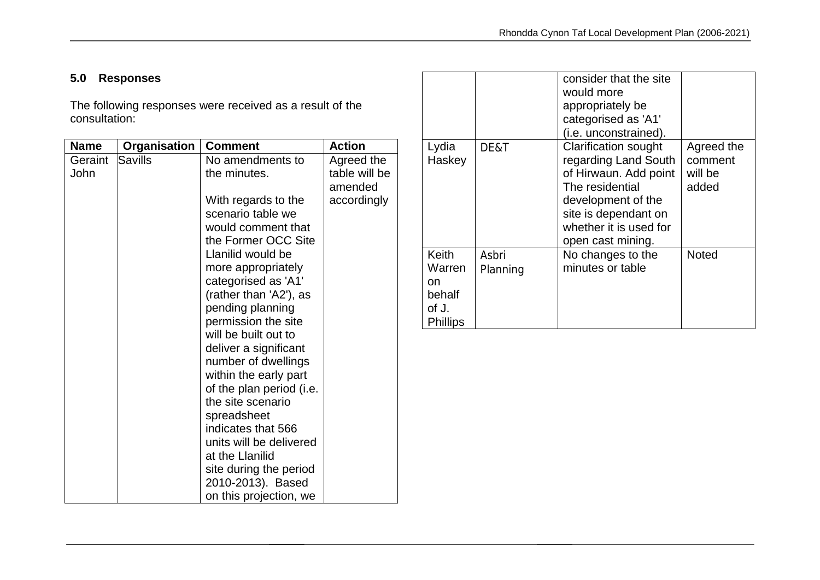## **5.0 Responses**

The following responses were received as a result of the consultation:

| <b>Name</b> | Organisation | <b>Comment</b>                          | <b>Action</b> |
|-------------|--------------|-----------------------------------------|---------------|
| Geraint     | Savills      | No amendments to                        | Agreed the    |
| John        |              | the minutes.                            | table will be |
|             |              |                                         | amended       |
|             |              | With regards to the                     | accordingly   |
|             |              | scenario table we<br>would comment that |               |
|             |              | the Former OCC Site                     |               |
|             |              | Llanilid would be                       |               |
|             |              | more appropriately                      |               |
|             |              | categorised as 'A1'                     |               |
|             |              | (rather than 'A2'), as                  |               |
|             |              | pending planning                        |               |
|             |              | permission the site                     |               |
|             |              | will be built out to                    |               |
|             |              | deliver a significant                   |               |
|             |              | number of dwellings                     |               |
|             |              | within the early part                   |               |
|             |              | of the plan period (i.e.                |               |
|             |              | the site scenario                       |               |
|             |              | spreadsheet                             |               |
|             |              | indicates that 566                      |               |
|             |              | units will be delivered                 |               |
|             |              | at the Llanilid                         |               |
|             |              | site during the period                  |               |
|             |              | 2010-2013). Based                       |               |
|             |              | on this projection, we                  |               |

|                                                                     |                   | consider that the site<br>would more<br>appropriately be<br>categorised as 'A1'<br>(i.e. unconstrained).                                                                                     |                                           |
|---------------------------------------------------------------------|-------------------|----------------------------------------------------------------------------------------------------------------------------------------------------------------------------------------------|-------------------------------------------|
| Lydia<br>Haskey                                                     | DE&T              | <b>Clarification sought</b><br>regarding Land South<br>of Hirwaun. Add point<br>The residential<br>development of the<br>site is dependant on<br>whether it is used for<br>open cast mining. | Agreed the<br>comment<br>will be<br>added |
| <b>Keith</b><br>Warren<br>on.<br>behalf<br>of J.<br><b>Phillips</b> | Asbri<br>Planning | No changes to the<br>minutes or table                                                                                                                                                        | <b>Noted</b>                              |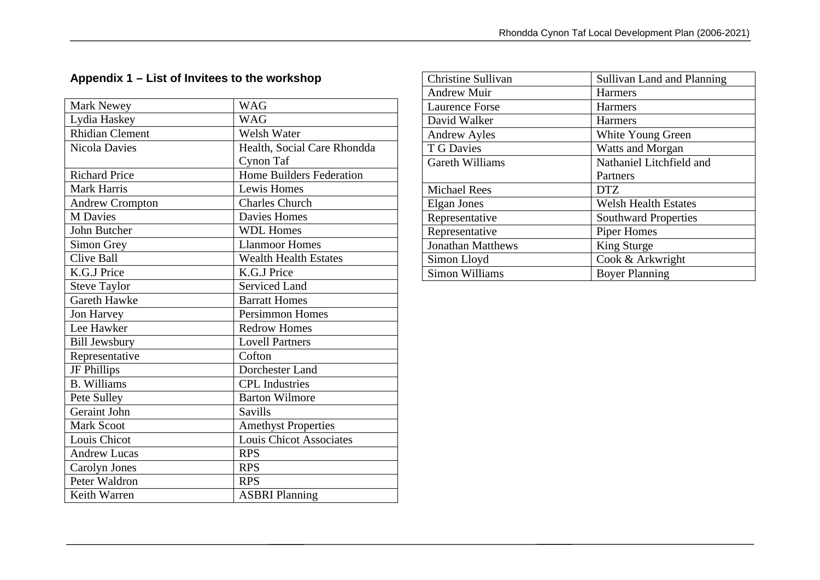## **Appendix 1 – List of Invitees to the workshop**

| Mark Newey             | <b>WAG</b>                     |
|------------------------|--------------------------------|
| Lydia Haskey           | <b>WAG</b>                     |
| <b>Rhidian Clement</b> | <b>Welsh Water</b>             |
| <b>Nicola Davies</b>   | Health, Social Care Rhondda    |
|                        | Cynon Taf                      |
| <b>Richard Price</b>   | Home Builders Federation       |
| <b>Mark Harris</b>     | Lewis Homes                    |
| <b>Andrew Crompton</b> | <b>Charles Church</b>          |
| <b>M</b> Davies        | <b>Davies Homes</b>            |
| <b>John Butcher</b>    | <b>WDL Homes</b>               |
| Simon Grey             | <b>Llanmoor Homes</b>          |
| <b>Clive Ball</b>      | <b>Wealth Health Estates</b>   |
| K.G.J Price            | K.G.J Price                    |
| <b>Steve Taylor</b>    | <b>Serviced Land</b>           |
| <b>Gareth Hawke</b>    | <b>Barratt Homes</b>           |
| Jon Harvey             | <b>Persimmon Homes</b>         |
| Lee Hawker             | <b>Redrow Homes</b>            |
| <b>Bill Jewsbury</b>   | <b>Lovell Partners</b>         |
| Representative         | Cofton                         |
| JF Phillips            | Dorchester Land                |
| <b>B.</b> Williams     | <b>CPL</b> Industries          |
| Pete Sulley            | <b>Barton Wilmore</b>          |
| Geraint John           | <b>Savills</b>                 |
| <b>Mark Scoot</b>      | <b>Amethyst Properties</b>     |
| Louis Chicot           | <b>Louis Chicot Associates</b> |
| <b>Andrew Lucas</b>    | <b>RPS</b>                     |
| Carolyn Jones          | <b>RPS</b>                     |
| Peter Waldron          | <b>RPS</b>                     |
| Keith Warren           | <b>ASBRI Planning</b>          |

| Christine Sullivan       | <b>Sullivan Land and Planning</b> |
|--------------------------|-----------------------------------|
| <b>Andrew Muir</b>       | Harmers                           |
| <b>Laurence Forse</b>    | <b>Harmers</b>                    |
| David Walker             | <b>Harmers</b>                    |
| <b>Andrew Ayles</b>      | White Young Green                 |
| T G Davies               | <b>Watts and Morgan</b>           |
| Gareth Williams          | Nathaniel Litchfield and          |
|                          | Partners                          |
| <b>Michael Rees</b>      | DTZ                               |
| Elgan Jones              | <b>Welsh Health Estates</b>       |
| Representative           | <b>Southward Properties</b>       |
| Representative           | Piper Homes                       |
| <b>Jonathan Matthews</b> | King Sturge                       |
| Simon Lloyd              | Cook & Arkwright                  |
| Simon Williams           | <b>Boyer Planning</b>             |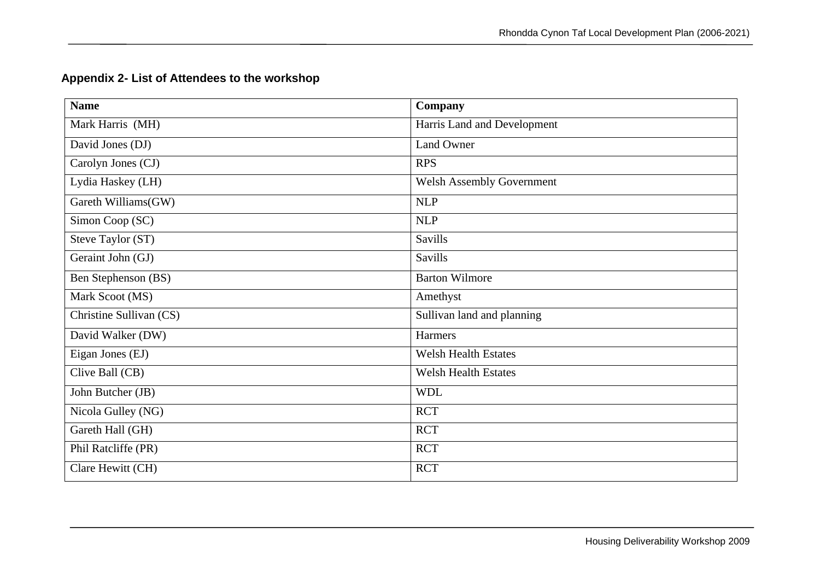| <b>Name</b>             | Company                          |
|-------------------------|----------------------------------|
| Mark Harris (MH)        | Harris Land and Development      |
| David Jones (DJ)        | Land Owner                       |
| Carolyn Jones (CJ)      | <b>RPS</b>                       |
| Lydia Haskey (LH)       | <b>Welsh Assembly Government</b> |
| Gareth Williams(GW)     | <b>NLP</b>                       |
| Simon Coop (SC)         | <b>NLP</b>                       |
| Steve Taylor (ST)       | <b>Savills</b>                   |
| Geraint John (GJ)       | <b>Savills</b>                   |
| Ben Stephenson (BS)     | <b>Barton Wilmore</b>            |
| Mark Scoot (MS)         | Amethyst                         |
| Christine Sullivan (CS) | Sullivan land and planning       |
| David Walker (DW)       | Harmers                          |
| Eigan Jones (EJ)        | <b>Welsh Health Estates</b>      |
| Clive Ball (CB)         | <b>Welsh Health Estates</b>      |
| John Butcher (JB)       | <b>WDL</b>                       |
| Nicola Gulley (NG)      | <b>RCT</b>                       |
| Gareth Hall (GH)        | <b>RCT</b>                       |
| Phil Ratcliffe (PR)     | <b>RCT</b>                       |
| Clare Hewitt (CH)       | <b>RCT</b>                       |

## **Appendix 2- List of Attendees to the workshop**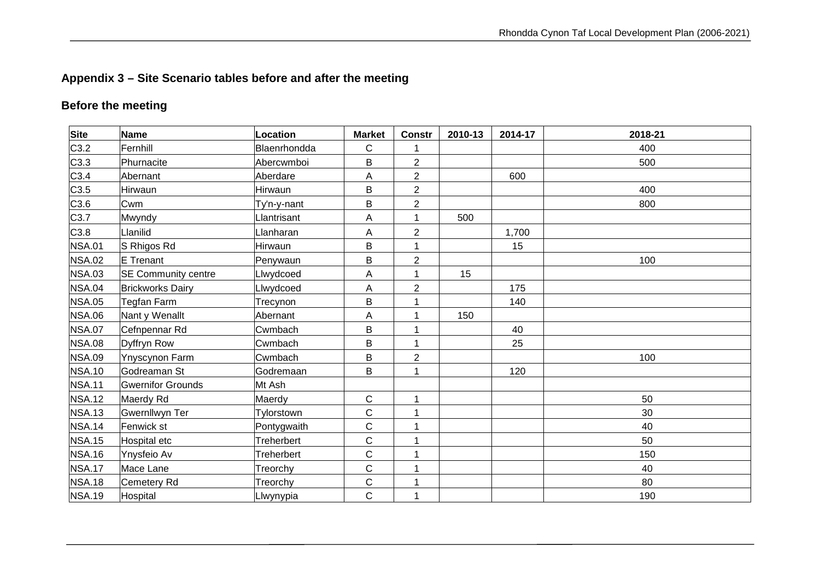## **Appendix 3 – Site Scenario tables before and after the meeting**

## **Before the meeting**

| Site          | <b>Name</b>                | Location     | <b>Market</b> | <b>Constr</b>  | 2010-13 | 2014-17 | 2018-21 |
|---------------|----------------------------|--------------|---------------|----------------|---------|---------|---------|
| C3.2          | Fernhill                   | Blaenrhondda | C             |                |         |         | 400     |
| C3.3          | Phurnacite                 | Abercwmboi   | B             | $\overline{2}$ |         |         | 500     |
| C3.4          | Abernant                   | Aberdare     | Α             | $\overline{2}$ |         | 600     |         |
| C3.5          | Hirwaun                    | Hirwaun      | B             | $\overline{c}$ |         |         | 400     |
| C3.6          | Cwm                        | Ty'n-y-nant  | B             | $\overline{2}$ |         |         | 800     |
| C3.7          | Mwyndy                     | Llantrisant  | Α             | 1              | 500     |         |         |
| C3.8          | Llanilid                   | Lanharan     | A             | $\overline{2}$ |         | 1,700   |         |
| <b>NSA.01</b> | S Rhigos Rd                | Hirwaun      | B             | 1              |         | 15      |         |
| <b>NSA.02</b> | E Trenant                  | Penywaun     | B             | $\overline{2}$ |         |         | 100     |
| <b>NSA.03</b> | <b>SE Community centre</b> | Llwydcoed    | Α             | 1              | 15      |         |         |
| <b>NSA.04</b> | <b>Brickworks Dairy</b>    | Llwydcoed    | A             | $\overline{2}$ |         | 175     |         |
| <b>NSA.05</b> | Tegfan Farm                | Trecynon     | B             | 1              |         | 140     |         |
| <b>NSA.06</b> | Nant y Wenallt             | Abernant     | A             | 1              | 150     |         |         |
| <b>NSA.07</b> | Cefnpennar Rd              | Cwmbach      | B             | 1              |         | 40      |         |
| <b>NSA.08</b> | Dyffryn Row                | Cwmbach      | B             | $\overline{1}$ |         | 25      |         |
| <b>NSA.09</b> | <b>Ynyscynon Farm</b>      | Cwmbach      | B             | $\overline{2}$ |         |         | 100     |
| <b>NSA.10</b> | Godreaman St               | Godremaan    | B             | 1              |         | 120     |         |
| <b>NSA.11</b> | <b>Gwernifor Grounds</b>   | Mt Ash       |               |                |         |         |         |
| <b>NSA.12</b> | Maerdy Rd                  | Maerdy       | C             | 1              |         |         | 50      |
| <b>NSA.13</b> | Gwernllwyn Ter             | Tylorstown   | $\mathsf C$   | 1              |         |         | 30      |
| <b>NSA.14</b> | Fenwick st                 | Pontygwaith  | $\mathsf C$   | 1              |         |         | 40      |
| <b>NSA.15</b> | Hospital etc               | Treherbert   | C             | 1              |         |         | 50      |
| <b>NSA.16</b> | Ynysfeio Av                | Treherbert   | C             | 1              |         |         | 150     |
| <b>NSA.17</b> | Mace Lane                  | Treorchy     | C             | 1              |         |         | 40      |
| <b>NSA.18</b> | Cemetery Rd                | Treorchy     | $\mathsf C$   | 1              |         |         | 80      |
| <b>NSA.19</b> | Hospital                   | Llwynypia    | C             |                |         |         | 190     |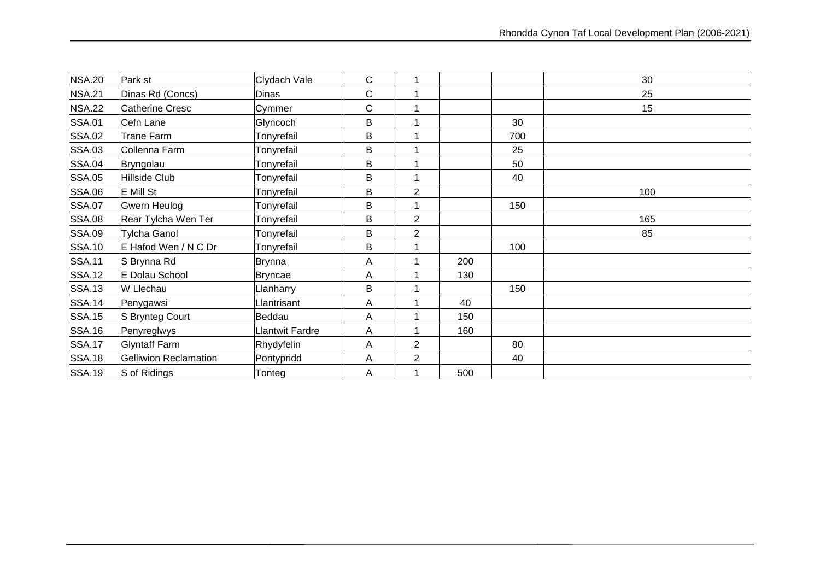| <b>NSA.20</b> | Park st               | Clydach Vale    | С | 1              |     |     | 30  |
|---------------|-----------------------|-----------------|---|----------------|-----|-----|-----|
| <b>NSA.21</b> | Dinas Rd (Concs)      | Dinas           | C | 1              |     |     | 25  |
| <b>NSA.22</b> | Catherine Cresc       | Cymmer          | С | 4              |     |     | 15  |
| <b>SSA.01</b> | Cefn Lane             | Glyncoch        | B | 1              |     | 30  |     |
| <b>SSA.02</b> | <b>Trane Farm</b>     | Tonyrefail      | B |                |     | 700 |     |
| <b>SSA.03</b> | Collenna Farm         | Tonyrefail      | B |                |     | 25  |     |
| <b>SSA.04</b> | Bryngolau             | Tonyrefail      | B | 1              |     | 50  |     |
| <b>SSA.05</b> | Hillside Club         | Tonyrefail      | B |                |     | 40  |     |
| <b>SSA.06</b> | E Mill St             | Tonyrefail      | B | $\overline{2}$ |     |     | 100 |
| <b>SSA.07</b> | Gwern Heulog          | Tonyrefail      | B | 1              |     | 150 |     |
| <b>SSA.08</b> | Rear Tylcha Wen Ter   | Tonyrefail      | B | $\overline{c}$ |     |     | 165 |
| <b>SSA.09</b> | <b>Tylcha Ganol</b>   | Tonyrefail      | B | $\overline{2}$ |     |     | 85  |
| <b>SSA.10</b> | E Hafod Wen / N C Dr  | Tonyrefail      | B | 1              |     | 100 |     |
| <b>SSA.11</b> | S Brynna Rd           | Brynna          | А |                | 200 |     |     |
| <b>SSA.12</b> | E Dolau School        | <b>Bryncae</b>  | Α |                | 130 |     |     |
| <b>SSA.13</b> | W Llechau             | <b>Lanharry</b> | B |                |     | 150 |     |
| <b>SSA.14</b> | Penygawsi             | Lantrisant      | А |                | 40  |     |     |
| <b>SSA.15</b> | S Brynteg Court       | Beddau          | Α |                | 150 |     |     |
| <b>SSA.16</b> | Penyreglwys           | lantwit Fardre  | А |                | 160 |     |     |
| <b>SSA.17</b> | <b>Glyntaff Farm</b>  | Rhydyfelin      | А | 2              |     | 80  |     |
| <b>SSA.18</b> | Gelliwion Reclamation | Pontypridd      | Α | $\overline{2}$ |     | 40  |     |
| <b>SSA.19</b> | S of Ridings          | Tonteg          | A | 1              | 500 |     |     |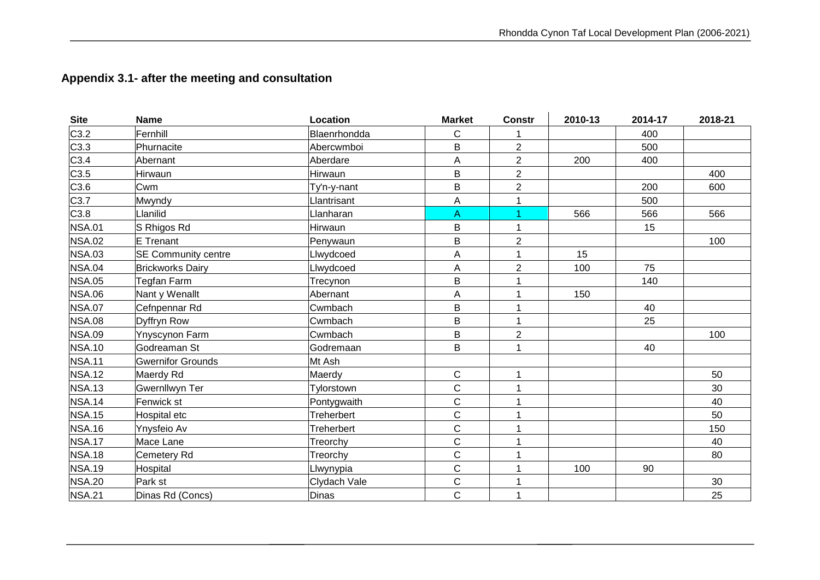## **Appendix 3.1- after the meeting and consultation**

| <b>Site</b>   | <b>Name</b>                | Location          | <b>Market</b> | <b>Constr</b>           | 2010-13 | 2014-17 | 2018-21 |
|---------------|----------------------------|-------------------|---------------|-------------------------|---------|---------|---------|
| C3.2          | Fernhill                   | Blaenrhondda      | $\mathsf{C}$  |                         |         | 400     |         |
| C3.3          | Phurnacite                 | Abercwmboi        | B             | $\overline{2}$          |         | 500     |         |
| C3.4          | Abernant                   | Aberdare          | A             | $\overline{2}$          | 200     | 400     |         |
| C3.5          | Hirwaun                    | Hirwaun           | B             | $\overline{\mathbf{c}}$ |         |         | 400     |
| C3.6          | Cwm                        | Ty'n-y-nant       | B             | $\overline{2}$          |         | 200     | 600     |
| C3.7          | Mwyndy                     | <b>Jantrisant</b> | A             | 1                       |         | 500     |         |
| C3.8          | Llanilid                   | Llanharan         | A             |                         | 566     | 566     | 566     |
| <b>NSA.01</b> | S Rhigos Rd                | Hirwaun           | B             | 1                       |         | 15      |         |
| <b>NSA.02</b> | E Trenant                  | Penywaun          | B             | $\overline{2}$          |         |         | 100     |
| <b>NSA.03</b> | <b>SE Community centre</b> | Llwydcoed         | A             |                         | 15      |         |         |
| <b>NSA.04</b> | <b>Brickworks Dairy</b>    | Llwydcoed         | A             | $\overline{2}$          | 100     | 75      |         |
| <b>NSA.05</b> | Tegfan Farm                | Trecynon          | B             |                         |         | 140     |         |
| <b>NSA.06</b> | Nant y Wenallt             | Abernant          | A             | 1                       | 150     |         |         |
| <b>NSA.07</b> | Cefnpennar Rd              | Cwmbach           | B             | 1                       |         | 40      |         |
| <b>NSA.08</b> | Dyffryn Row                | Cwmbach           | B             | 1                       |         | 25      |         |
| <b>NSA.09</b> | <b>Ynyscynon Farm</b>      | Cwmbach           | B             | $\overline{2}$          |         |         | 100     |
| <b>NSA.10</b> | Godreaman St               | Godremaan         | B             | 1                       |         | 40      |         |
| <b>NSA.11</b> | <b>Gwernifor Grounds</b>   | Mt Ash            |               |                         |         |         |         |
| <b>NSA.12</b> | Maerdy Rd                  | Maerdy            | $\mathbf C$   | 1                       |         |         | 50      |
| <b>NSA.13</b> | <b>Gwernllwyn Ter</b>      | Tylorstown        | $\mathsf{C}$  | 1                       |         |         | 30      |
| <b>NSA.14</b> | Fenwick st                 | Pontygwaith       | $\mathbf C$   | 1                       |         |         | 40      |
| <b>NSA.15</b> | Hospital etc               | Treherbert        | $\mathbf C$   | 1                       |         |         | 50      |
| <b>NSA.16</b> | Ynysfeio Av                | Treherbert        | $\mathbf C$   | 1                       |         |         | 150     |
| <b>NSA.17</b> | Mace Lane                  | Treorchy          | $\mathbf C$   |                         |         |         | 40      |
| <b>NSA.18</b> | Cemetery Rd                | Treorchy          | $\mathbf C$   | 1                       |         |         | 80      |
| <b>NSA.19</b> | Hospital                   | Llwynypia         | $\mathsf{C}$  | 1                       | 100     | 90      |         |
| <b>NSA.20</b> | Park st                    | Clydach Vale      | $\mathbf C$   | 1                       |         |         | 30      |
| <b>NSA.21</b> | Dinas Rd (Concs)           | Dinas             | $\mathbf C$   | $\mathbf 1$             |         |         | 25      |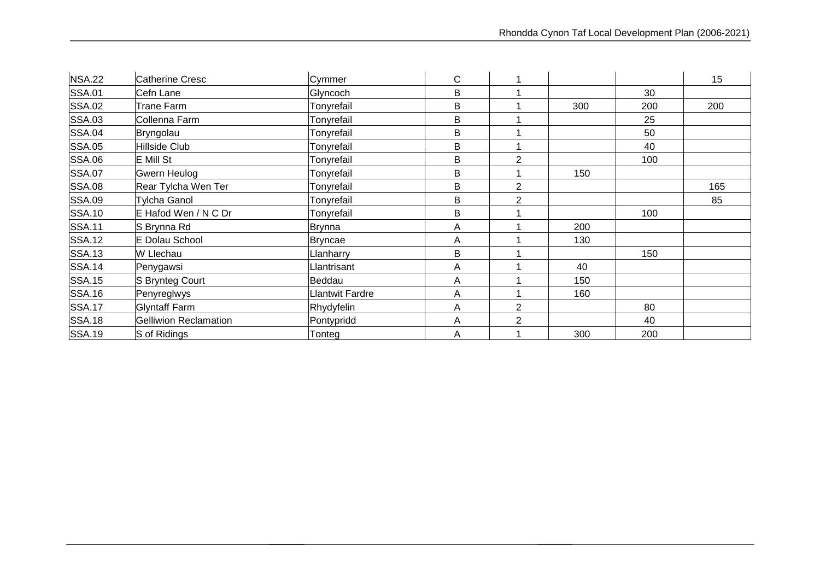| <b>NSA.22</b> | <b>Catherine Cresc</b>       | Cymmer                 | $\mathsf{C}$ |                |     |     | 15  |
|---------------|------------------------------|------------------------|--------------|----------------|-----|-----|-----|
| <b>SSA.01</b> | Cefn Lane                    | Glyncoch               | B            |                |     | 30  |     |
| <b>SSA.02</b> | <b>Trane Farm</b>            | Tonyrefail             | B            |                | 300 | 200 | 200 |
| <b>SSA.03</b> | Collenna Farm                | Tonyrefail             | B            |                |     | 25  |     |
| <b>SSA.04</b> | Bryngolau                    | Tonyrefail             | B            |                |     | 50  |     |
| <b>SSA.05</b> | Hillside Club                | Tonyrefail             | B            |                |     | 40  |     |
| <b>SSA.06</b> | <b>E</b> Mill St             | Tonyrefail             | B            | $\overline{2}$ |     | 100 |     |
| <b>SSA.07</b> | Gwern Heulog                 | Tonyrefail             | B            |                | 150 |     |     |
| <b>SSA.08</b> | Rear Tylcha Wen Ter          | Tonyrefail             | B            | $\overline{2}$ |     |     | 165 |
| <b>SSA.09</b> | <b>Tylcha Ganol</b>          | Tonyrefail             | B            | $\overline{2}$ |     |     | 85  |
| <b>SSA.10</b> | E Hafod Wen / N C Dr         | Tonyrefail             | B            |                |     | 100 |     |
| <b>SSA.11</b> | S Brynna Rd                  | <b>Brynna</b>          | Α            |                | 200 |     |     |
| <b>SSA.12</b> | E Dolau School               | Bryncae                | A            |                | 130 |     |     |
| <b>SSA.13</b> | W Llechau                    | <b>Janharry</b>        | B            |                |     | 150 |     |
| <b>SSA.14</b> | Penygawsi                    | <b>Jantrisant</b>      | A            |                | 40  |     |     |
| <b>SSA.15</b> | S Brynteg Court              | Beddau                 | A            |                | 150 |     |     |
| <b>SSA.16</b> | Penyreglwys                  | <b>Llantwit Fardre</b> | A            |                | 160 |     |     |
| <b>SSA.17</b> | <b>Glyntaff Farm</b>         | Rhydyfelin             | A            | 2              |     | 80  |     |
| <b>SSA.18</b> | <b>Gelliwion Reclamation</b> | Pontypridd             | Α            | $\overline{2}$ |     | 40  |     |
| <b>SSA.19</b> | S of Ridings                 | Tonteg                 | A            |                | 300 | 200 |     |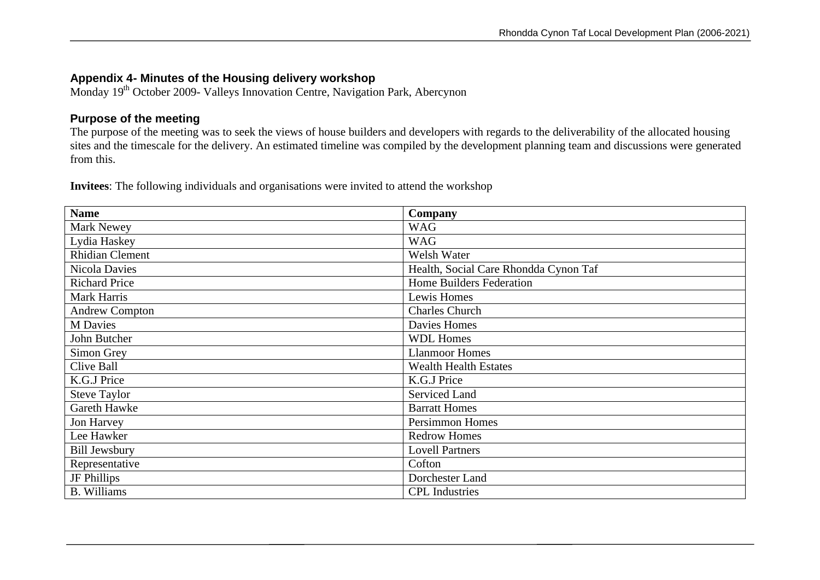### **Appendix 4- Minutes of the Housing delivery workshop**

Monday 19<sup>th</sup> October 2009- Valleys Innovation Centre, Navigation Park, Abercynon

#### **Purpose of the meeting**

The purpose of the meeting was to seek the views of house builders and developers with regards to the deliverability of the allocated housing sites and the timescale for the delivery. An estimated timeline was compiled by the development planning team and discussions were generated from this.

**Invitees**: The following individuals and organisations were invited to attend the workshop

| <b>Name</b>            | Company                               |
|------------------------|---------------------------------------|
| Mark Newey             | <b>WAG</b>                            |
| Lydia Haskey           | <b>WAG</b>                            |
| <b>Rhidian Clement</b> | Welsh Water                           |
| Nicola Davies          | Health, Social Care Rhondda Cynon Taf |
| <b>Richard Price</b>   | <b>Home Builders Federation</b>       |
| Mark Harris            | Lewis Homes                           |
| <b>Andrew Compton</b>  | <b>Charles Church</b>                 |
| <b>M</b> Davies        | Davies Homes                          |
| John Butcher           | <b>WDL Homes</b>                      |
| Simon Grey             | <b>Llanmoor Homes</b>                 |
| Clive Ball             | <b>Wealth Health Estates</b>          |
| K.G.J Price            | K.G.J Price                           |
| <b>Steve Taylor</b>    | <b>Serviced Land</b>                  |
| Gareth Hawke           | <b>Barratt Homes</b>                  |
| Jon Harvey             | <b>Persimmon Homes</b>                |
| Lee Hawker             | <b>Redrow Homes</b>                   |
| <b>Bill Jewsbury</b>   | <b>Lovell Partners</b>                |
| Representative         | Cofton                                |
| JF Phillips            | Dorchester Land                       |
| <b>B.</b> Williams     | <b>CPL</b> Industries                 |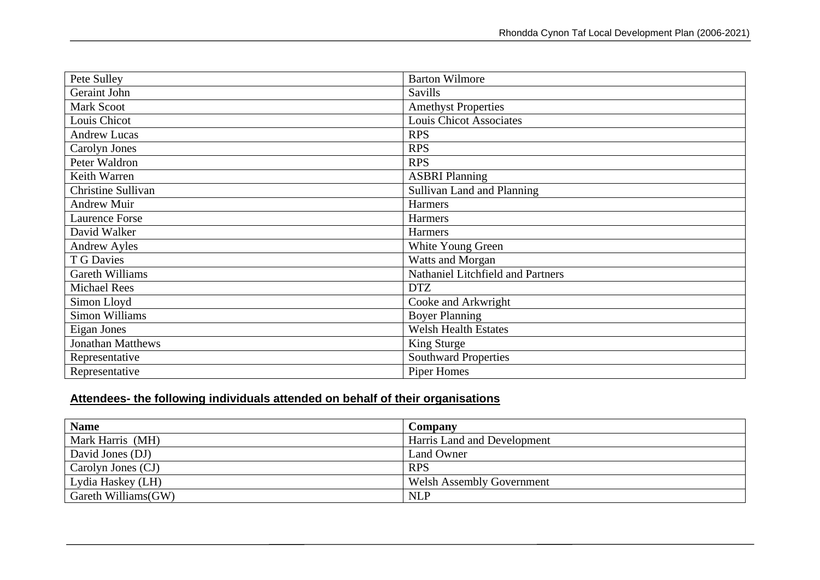| Pete Sulley              | <b>Barton Wilmore</b>             |
|--------------------------|-----------------------------------|
| Geraint John             | Savills                           |
| <b>Mark Scoot</b>        | <b>Amethyst Properties</b>        |
| Louis Chicot             | Louis Chicot Associates           |
| <b>Andrew Lucas</b>      | <b>RPS</b>                        |
| Carolyn Jones            | <b>RPS</b>                        |
| Peter Waldron            | <b>RPS</b>                        |
| Keith Warren             | <b>ASBRI Planning</b>             |
| Christine Sullivan       | Sullivan Land and Planning        |
| <b>Andrew Muir</b>       | Harmers                           |
| <b>Laurence Forse</b>    | Harmers                           |
| David Walker             | Harmers                           |
| <b>Andrew Ayles</b>      | White Young Green                 |
| T G Davies               | Watts and Morgan                  |
| Gareth Williams          | Nathaniel Litchfield and Partners |
| <b>Michael Rees</b>      | <b>DTZ</b>                        |
| Simon Lloyd              | Cooke and Arkwright               |
| <b>Simon Williams</b>    | <b>Boyer Planning</b>             |
| Eigan Jones              | <b>Welsh Health Estates</b>       |
| <b>Jonathan Matthews</b> | King Sturge                       |
| Representative           | <b>Southward Properties</b>       |
| Representative           | Piper Homes                       |

## **Attendees- the following individuals attended on behalf of their organisations**

| <b>Name</b>         | Company                          |
|---------------------|----------------------------------|
| Mark Harris (MH)    | Harris Land and Development      |
| David Jones (DJ)    | Land Owner                       |
| Carolyn Jones (CJ)  | <b>RPS</b>                       |
| Lydia Haskey (LH)   | <b>Welsh Assembly Government</b> |
| Gareth Williams(GW) | <b>NLP</b>                       |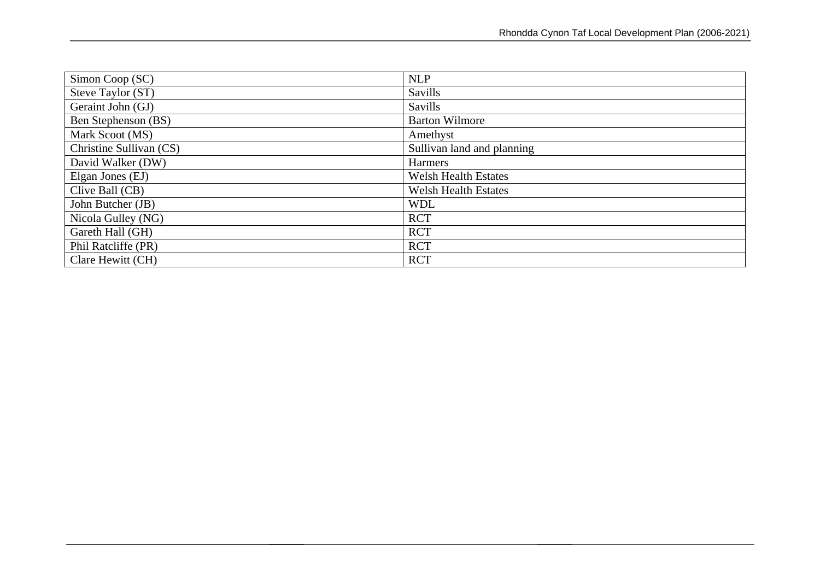| Simon Coop (SC)         | <b>NLP</b>                  |
|-------------------------|-----------------------------|
| Steve Taylor (ST)       | Savills                     |
| Geraint John (GJ)       | <b>Savills</b>              |
| Ben Stephenson (BS)     | <b>Barton Wilmore</b>       |
| Mark Scoot (MS)         | Amethyst                    |
| Christine Sullivan (CS) | Sullivan land and planning  |
| David Walker (DW)       | Harmers                     |
| Elgan Jones (EJ)        | <b>Welsh Health Estates</b> |
| Clive Ball (CB)         | <b>Welsh Health Estates</b> |
| John Butcher (JB)       | <b>WDL</b>                  |
| Nicola Gulley (NG)      | <b>RCT</b>                  |
| Gareth Hall (GH)        | <b>RCT</b>                  |
| Phil Ratcliffe (PR)     | <b>RCT</b>                  |
| Clare Hewitt (CH)       | <b>RCT</b>                  |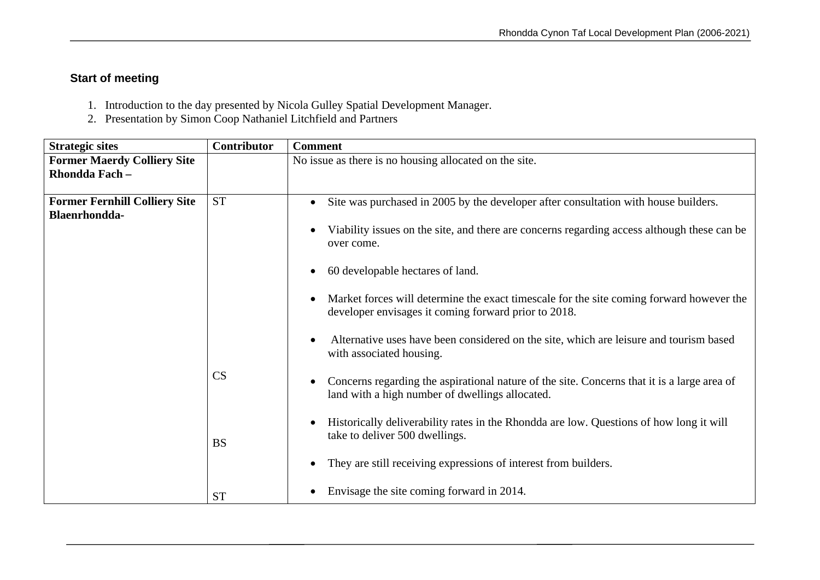## **Start of meeting**

- 1. Introduction to the day presented by Nicola Gulley Spatial Development Manager.
- 2. Presentation by Simon Coop Nathaniel Litchfield and Partners

| <b>Strategic sites</b>                                | Contributor | <b>Comment</b>                                                                                                                                   |
|-------------------------------------------------------|-------------|--------------------------------------------------------------------------------------------------------------------------------------------------|
| <b>Former Maerdy Colliery Site</b><br>Rhondda Fach -  |             | No issue as there is no housing allocated on the site.                                                                                           |
| <b>Former Fernhill Colliery Site</b><br>Blaenrhondda- | <b>ST</b>   | Site was purchased in 2005 by the developer after consultation with house builders.                                                              |
|                                                       |             | Viability issues on the site, and there are concerns regarding access although these can be<br>over come.                                        |
|                                                       |             | 60 developable hectares of land.                                                                                                                 |
|                                                       |             | Market forces will determine the exact timescale for the site coming forward however the<br>developer envisages it coming forward prior to 2018. |
|                                                       |             | Alternative uses have been considered on the site, which are leisure and tourism based<br>with associated housing.                               |
|                                                       | CS          | Concerns regarding the aspirational nature of the site. Concerns that it is a large area of<br>land with a high number of dwellings allocated.   |
|                                                       | <b>BS</b>   | Historically deliverability rates in the Rhondda are low. Questions of how long it will<br>take to deliver 500 dwellings.                        |
|                                                       |             | They are still receiving expressions of interest from builders.                                                                                  |
|                                                       | <b>ST</b>   | Envisage the site coming forward in 2014.                                                                                                        |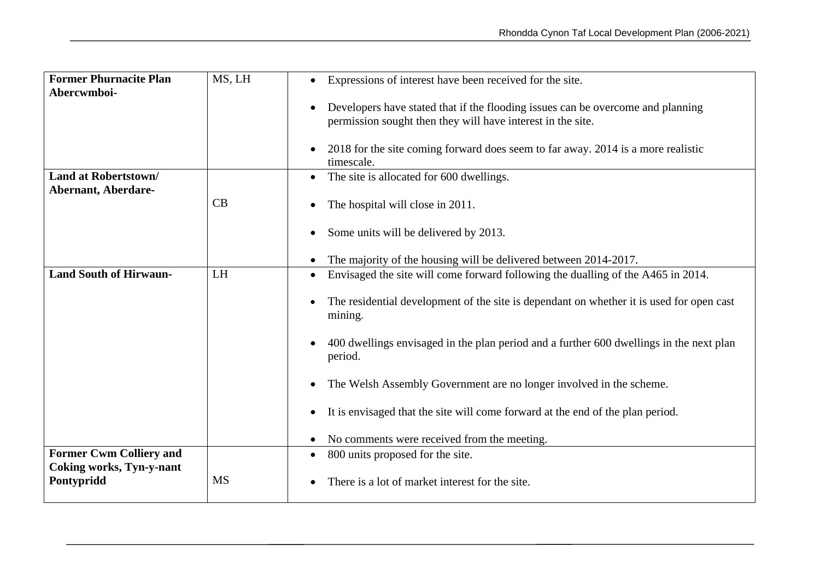| <b>Former Phurnacite Plan</b><br>Abercwmboi-                      | MS, LH    | Expressions of interest have been received for the site.                                                                                       |
|-------------------------------------------------------------------|-----------|------------------------------------------------------------------------------------------------------------------------------------------------|
|                                                                   |           | Developers have stated that if the flooding issues can be overcome and planning<br>permission sought then they will have interest in the site. |
|                                                                   |           | 2018 for the site coming forward does seem to far away. 2014 is a more realistic<br>timescale.                                                 |
| <b>Land at Robertstown/</b><br><b>Abernant, Aberdare-</b>         |           | The site is allocated for 600 dwellings.                                                                                                       |
|                                                                   | CB        | The hospital will close in 2011.                                                                                                               |
|                                                                   |           | Some units will be delivered by 2013.                                                                                                          |
|                                                                   |           | The majority of the housing will be delivered between 2014-2017.                                                                               |
| <b>Land South of Hirwaun-</b>                                     | LH        | Envisaged the site will come forward following the dualling of the A465 in 2014.                                                               |
|                                                                   |           | The residential development of the site is dependant on whether it is used for open cast<br>mining.                                            |
|                                                                   |           | 400 dwellings envisaged in the plan period and a further 600 dwellings in the next plan<br>period.                                             |
|                                                                   |           | The Welsh Assembly Government are no longer involved in the scheme.                                                                            |
|                                                                   |           | It is envisaged that the site will come forward at the end of the plan period.                                                                 |
|                                                                   |           | No comments were received from the meeting.                                                                                                    |
| <b>Former Cwm Colliery and</b><br><b>Coking works, Tyn-y-nant</b> |           | 800 units proposed for the site.<br>$\bullet$                                                                                                  |
| Pontypridd                                                        | <b>MS</b> | There is a lot of market interest for the site.                                                                                                |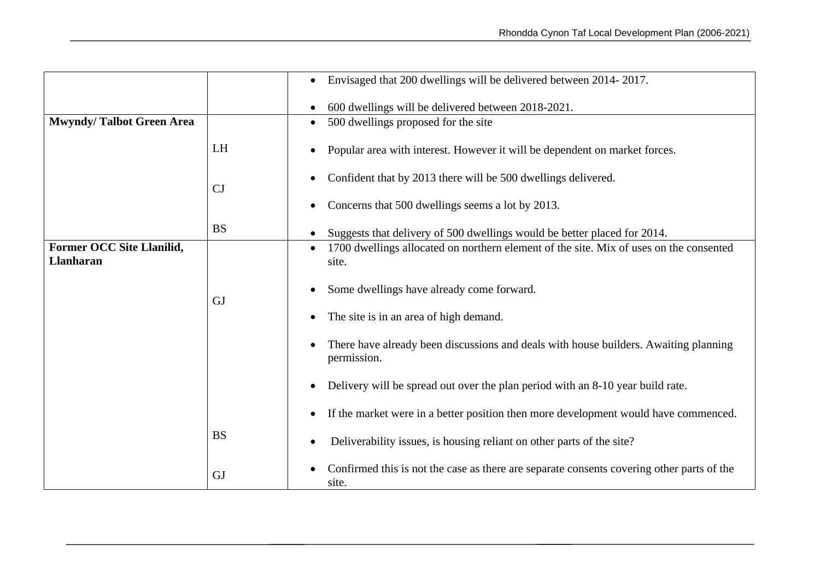|                                                      |           | Envisaged that 200 dwellings will be delivered between 2014-2017.                                   |
|------------------------------------------------------|-----------|-----------------------------------------------------------------------------------------------------|
|                                                      |           | 600 dwellings will be delivered between 2018-2021.                                                  |
| <b>Mwyndy/Talbot Green Area</b>                      |           | 500 dwellings proposed for the site<br>$\bullet$                                                    |
|                                                      | LH        | Popular area with interest. However it will be dependent on market forces.                          |
|                                                      | CJ        | Confident that by 2013 there will be 500 dwellings delivered.                                       |
|                                                      |           | Concerns that 500 dwellings seems a lot by 2013.                                                    |
|                                                      | <b>BS</b> | Suggests that delivery of 500 dwellings would be better placed for 2014.                            |
| <b>Former OCC Site Llanilid,</b><br><b>Llanharan</b> |           | 1700 dwellings allocated on northern element of the site. Mix of uses on the consented<br>site.     |
|                                                      | <b>GJ</b> | Some dwellings have already come forward.                                                           |
|                                                      |           | The site is in an area of high demand.                                                              |
|                                                      |           | There have already been discussions and deals with house builders. Awaiting planning<br>permission. |
|                                                      |           | Delivery will be spread out over the plan period with an 8-10 year build rate.                      |
|                                                      |           | If the market were in a better position then more development would have commenced.                 |
|                                                      | <b>BS</b> | Deliverability issues, is housing reliant on other parts of the site?                               |
|                                                      | <b>GJ</b> | Confirmed this is not the case as there are separate consents covering other parts of the<br>site.  |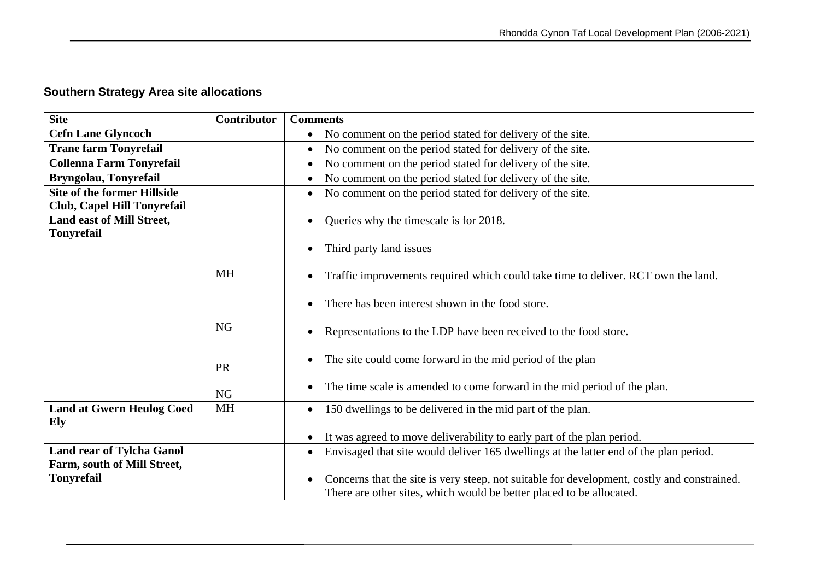## **Southern Strategy Area site allocations**

| <b>Site</b>                                                     | <b>Contributor</b> | <b>Comments</b>                                                                                                                                                     |
|-----------------------------------------------------------------|--------------------|---------------------------------------------------------------------------------------------------------------------------------------------------------------------|
| <b>Cefn Lane Glyncoch</b>                                       |                    | No comment on the period stated for delivery of the site.<br>$\bullet$                                                                                              |
| <b>Trane farm Tonyrefail</b>                                    |                    | No comment on the period stated for delivery of the site.<br>$\bullet$                                                                                              |
| <b>Collenna Farm Tonyrefail</b>                                 |                    | No comment on the period stated for delivery of the site.<br>$\bullet$                                                                                              |
| Bryngolau, Tonyrefail                                           |                    | No comment on the period stated for delivery of the site.                                                                                                           |
| <b>Site of the former Hillside</b>                              |                    | No comment on the period stated for delivery of the site.<br>$\bullet$                                                                                              |
| Club, Capel Hill Tonyrefail                                     |                    |                                                                                                                                                                     |
| Land east of Mill Street,                                       |                    | Queries why the timescale is for 2018.                                                                                                                              |
| <b>Tonyrefail</b>                                               |                    | Third party land issues                                                                                                                                             |
|                                                                 | <b>MH</b>          | Traffic improvements required which could take time to deliver. RCT own the land.                                                                                   |
|                                                                 |                    | There has been interest shown in the food store.                                                                                                                    |
|                                                                 | <b>NG</b>          | Representations to the LDP have been received to the food store.                                                                                                    |
|                                                                 | PR                 | The site could come forward in the mid period of the plan                                                                                                           |
|                                                                 | <b>NG</b>          | The time scale is amended to come forward in the mid period of the plan.                                                                                            |
| <b>Land at Gwern Heulog Coed</b><br>Ely                         | <b>MH</b>          | 150 dwellings to be delivered in the mid part of the plan.                                                                                                          |
|                                                                 |                    | It was agreed to move deliverability to early part of the plan period.                                                                                              |
| <b>Land rear of Tylcha Ganol</b><br>Farm, south of Mill Street, |                    | Envisaged that site would deliver 165 dwellings at the latter end of the plan period.<br>$\bullet$                                                                  |
| <b>Tonyrefail</b>                                               |                    | Concerns that the site is very steep, not suitable for development, costly and constrained.<br>There are other sites, which would be better placed to be allocated. |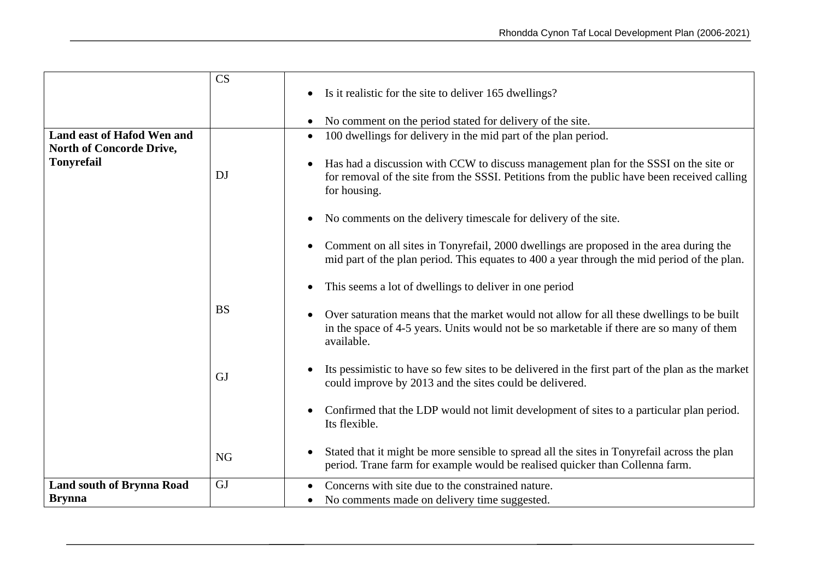|                                  | CS        |                                                                                                                                                                                                     |
|----------------------------------|-----------|-----------------------------------------------------------------------------------------------------------------------------------------------------------------------------------------------------|
|                                  |           | Is it realistic for the site to deliver 165 dwellings?                                                                                                                                              |
|                                  |           | No comment on the period stated for delivery of the site.                                                                                                                                           |
| Land east of Hafod Wen and       |           | 100 dwellings for delivery in the mid part of the plan period.                                                                                                                                      |
| <b>North of Concorde Drive,</b>  |           |                                                                                                                                                                                                     |
| <b>Tonyrefail</b>                | DJ        | Has had a discussion with CCW to discuss management plan for the SSSI on the site or<br>for removal of the site from the SSSI. Petitions from the public have been received calling<br>for housing. |
|                                  |           | No comments on the delivery timescale for delivery of the site.                                                                                                                                     |
|                                  |           | Comment on all sites in Tonyrefail, 2000 dwellings are proposed in the area during the<br>mid part of the plan period. This equates to 400 a year through the mid period of the plan.               |
|                                  |           | This seems a lot of dwellings to deliver in one period                                                                                                                                              |
|                                  | <b>BS</b> | Over saturation means that the market would not allow for all these dwellings to be built<br>in the space of 4-5 years. Units would not be so marketable if there are so many of them<br>available. |
|                                  | GJ        | Its pessimistic to have so few sites to be delivered in the first part of the plan as the market<br>could improve by 2013 and the sites could be delivered.                                         |
|                                  |           | Confirmed that the LDP would not limit development of sites to a particular plan period.<br>Its flexible.                                                                                           |
|                                  | <b>NG</b> | Stated that it might be more sensible to spread all the sites in Tonyrefail across the plan<br>period. Trane farm for example would be realised quicker than Collenna farm.                         |
| <b>Land south of Brynna Road</b> | <b>GJ</b> | Concerns with site due to the constrained nature.                                                                                                                                                   |
| <b>Brynna</b>                    |           | • No comments made on delivery time suggested.                                                                                                                                                      |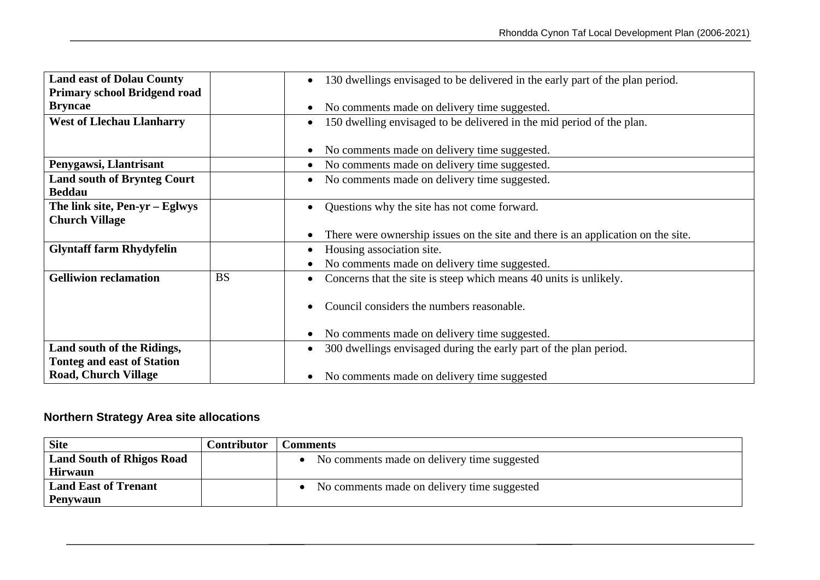| <b>Land east of Dolau County</b>    |           | 130 dwellings envisaged to be delivered in the early part of the plan period.      |
|-------------------------------------|-----------|------------------------------------------------------------------------------------|
|                                     |           |                                                                                    |
| <b>Primary school Bridgend road</b> |           |                                                                                    |
| <b>Bryncae</b>                      |           | No comments made on delivery time suggested.                                       |
| <b>West of Llechau Llanharry</b>    |           | 150 dwelling envisaged to be delivered in the mid period of the plan.<br>$\bullet$ |
|                                     |           |                                                                                    |
|                                     |           | No comments made on delivery time suggested.                                       |
| Penygawsi, Llantrisant              |           | No comments made on delivery time suggested.                                       |
| <b>Land south of Brynteg Court</b>  |           | No comments made on delivery time suggested.                                       |
| <b>Beddau</b>                       |           |                                                                                    |
| The link site, $Pen-yr - Eglwys$    |           | Questions why the site has not come forward.                                       |
| <b>Church Village</b>               |           |                                                                                    |
|                                     |           | There were ownership issues on the site and there is an application on the site.   |
|                                     |           |                                                                                    |
| <b>Glyntaff farm Rhydyfelin</b>     |           | Housing association site.                                                          |
|                                     |           | No comments made on delivery time suggested.                                       |
| <b>Gelliwion reclamation</b>        | <b>BS</b> | Concerns that the site is steep which means 40 units is unlikely.                  |
|                                     |           |                                                                                    |
|                                     |           | Council considers the numbers reasonable.                                          |
|                                     |           |                                                                                    |
|                                     |           |                                                                                    |
|                                     |           | No comments made on delivery time suggested.                                       |
| Land south of the Ridings,          |           | 300 dwellings envisaged during the early part of the plan period.                  |
| <b>Tonteg and east of Station</b>   |           |                                                                                    |
| <b>Road, Church Village</b>         |           | No comments made on delivery time suggested                                        |

## **Northern Strategy Area site allocations**

| <b>Site</b>                      | Contributor | Comments                                      |
|----------------------------------|-------------|-----------------------------------------------|
| <b>Land South of Rhigos Road</b> |             | • No comments made on delivery time suggested |
| <b>Hirwaun</b>                   |             |                                               |
| <b>Land East of Trenant</b>      |             | • No comments made on delivery time suggested |
| Penywaun                         |             |                                               |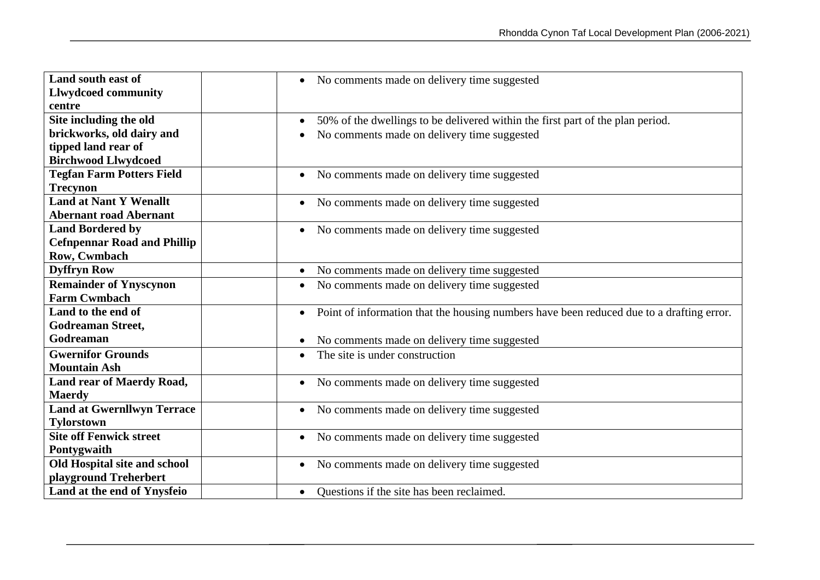| Land south east of                 | No comments made on delivery time suggested<br>$\bullet$                                              |
|------------------------------------|-------------------------------------------------------------------------------------------------------|
| <b>Llwydcoed community</b>         |                                                                                                       |
| centre                             |                                                                                                       |
| Site including the old             | 50% of the dwellings to be delivered within the first part of the plan period.<br>$\bullet$           |
| brickworks, old dairy and          | No comments made on delivery time suggested                                                           |
| tipped land rear of                |                                                                                                       |
| <b>Birchwood Llwydcoed</b>         |                                                                                                       |
| <b>Tegfan Farm Potters Field</b>   | No comments made on delivery time suggested<br>$\bullet$                                              |
| <b>Trecynon</b>                    |                                                                                                       |
| <b>Land at Nant Y Wenallt</b>      | No comments made on delivery time suggested<br>$\bullet$                                              |
| <b>Abernant road Abernant</b>      |                                                                                                       |
| <b>Land Bordered by</b>            | No comments made on delivery time suggested<br>$\bullet$                                              |
| <b>Cefnpennar Road and Phillip</b> |                                                                                                       |
| Row, Cwmbach                       |                                                                                                       |
| <b>Dyffryn Row</b>                 | No comments made on delivery time suggested<br>$\bullet$                                              |
| <b>Remainder of Ynyscynon</b>      | No comments made on delivery time suggested<br>$\bullet$                                              |
| <b>Farm Cwmbach</b>                |                                                                                                       |
| Land to the end of                 | Point of information that the housing numbers have been reduced due to a drafting error.<br>$\bullet$ |
| <b>Godreaman Street,</b>           |                                                                                                       |
| Godreaman                          | No comments made on delivery time suggested<br>$\bullet$                                              |
| <b>Gwernifor Grounds</b>           | The site is under construction<br>$\bullet$                                                           |
| <b>Mountain Ash</b>                |                                                                                                       |
| Land rear of Maerdy Road,          | No comments made on delivery time suggested<br>$\bullet$                                              |
| <b>Maerdy</b>                      |                                                                                                       |
| <b>Land at Gwernllwyn Terrace</b>  | No comments made on delivery time suggested<br>$\bullet$                                              |
| <b>Tylorstown</b>                  |                                                                                                       |
| <b>Site off Fenwick street</b>     | No comments made on delivery time suggested<br>$\bullet$                                              |
| Pontygwaith                        |                                                                                                       |
| Old Hospital site and school       | No comments made on delivery time suggested<br>$\bullet$                                              |
| playground Treherbert              |                                                                                                       |
| Land at the end of Ynysfeio        | Questions if the site has been reclaimed.<br>$\bullet$                                                |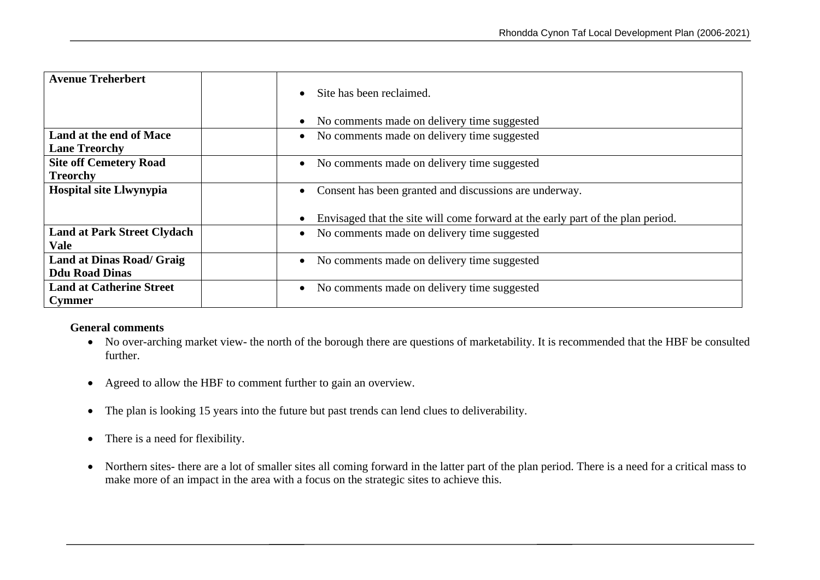| <b>Avenue Treherbert</b>           | Site has been reclaimed.<br>$\bullet$<br>No comments made on delivery time suggested<br>$\bullet$ |
|------------------------------------|---------------------------------------------------------------------------------------------------|
| Land at the end of Mace            | No comments made on delivery time suggested<br>$\bullet$                                          |
| <b>Lane Treorchy</b>               |                                                                                                   |
| <b>Site off Cemetery Road</b>      | • No comments made on delivery time suggested                                                     |
| <b>Treorchy</b>                    |                                                                                                   |
| <b>Hospital site Llwynypia</b>     | Consent has been granted and discussions are underway.<br>$\bullet$                               |
|                                    | Envisaged that the site will come forward at the early part of the plan period.<br>$\bullet$      |
| <b>Land at Park Street Clydach</b> | No comments made on delivery time suggested<br>$\bullet$                                          |
| Vale                               |                                                                                                   |
| <b>Land at Dinas Road/ Graig</b>   | No comments made on delivery time suggested<br>$\bullet$                                          |
| <b>Ddu Road Dinas</b>              |                                                                                                   |
| <b>Land at Catherine Street</b>    | No comments made on delivery time suggested<br>$\bullet$                                          |
| <b>Cymmer</b>                      |                                                                                                   |

#### **General comments**

- No over-arching market view- the north of the borough there are questions of marketability. It is recommended that the HBF be consulted further.
- Agreed to allow the HBF to comment further to gain an overview.
- The plan is looking 15 years into the future but past trends can lend clues to deliverability.
- There is a need for flexibility.
- Northern sites- there are a lot of smaller sites all coming forward in the latter part of the plan period. There is a need for a critical mass to make more of an impact in the area with a focus on the strategic sites to achieve this.